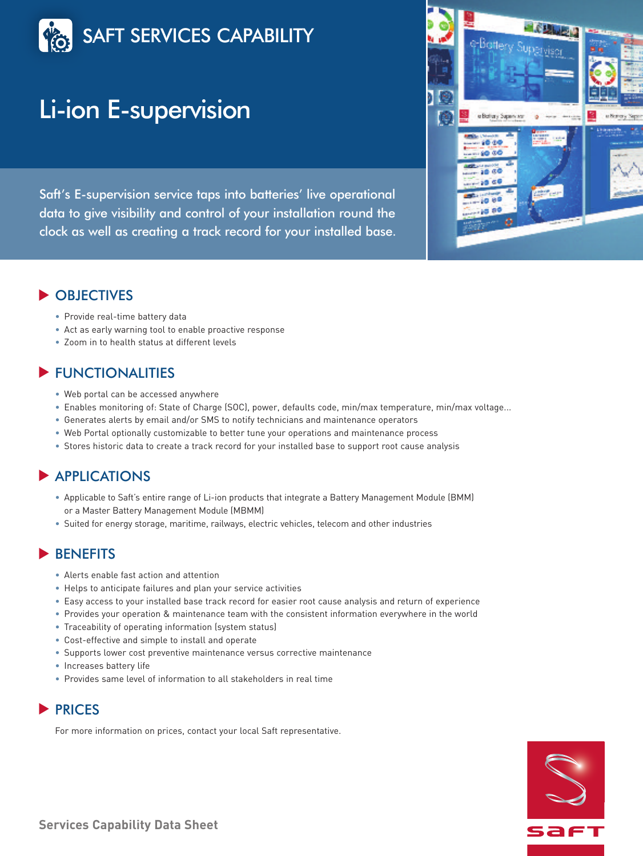

# Li-ion E-supervision

Saft's E-supervision service taps into batteries' live operational data to give visibility and control of your installation round the clock as well as creating a track record for your installed base.



## OBJECTIVES **▼**

- Provide real-time battery data
- Act as early warning tool to enable proactive response
- Zoom in to health status at different levels

## FUNCTIONALITIES **▼**

- Web portal can be accessed anywhere
- Enables monitoring of: State of Charge (SOC), power, defaults code, min/max temperature, min/max voltage...
- Generates alerts by email and/or SMS to notify technicians and maintenance operators
- Web Portal optionally customizable to better tune your operations and maintenance process
- Stores historic data to create a track record for your installed base to support root cause analysis

## ▶ APPLICATIONS

- Applicable to Saft's entire range of Li-ion products that integrate a Battery Management Module (BMM) or a Master Battery Management Module (MBMM)
- Suited for energy storage, maritime, railways, electric vehicles, telecom and other industries

## **>**BENEFITS

- Alerts enable fast action and attention
- Helps to anticipate failures and plan your service activities
- Easy access to your installed base track record for easier root cause analysis and return of experience
- Provides your operation & maintenance team with the consistent information everywhere in the world
- Traceability of operating information (system status)
- Cost-effective and simple to install and operate
- Supports lower cost preventive maintenance versus corrective maintenance
- Increases battery life
- Provides same level of information to all stakeholders in real time

## ▶ PRICES

For more information on prices, contact your local Saft representative.